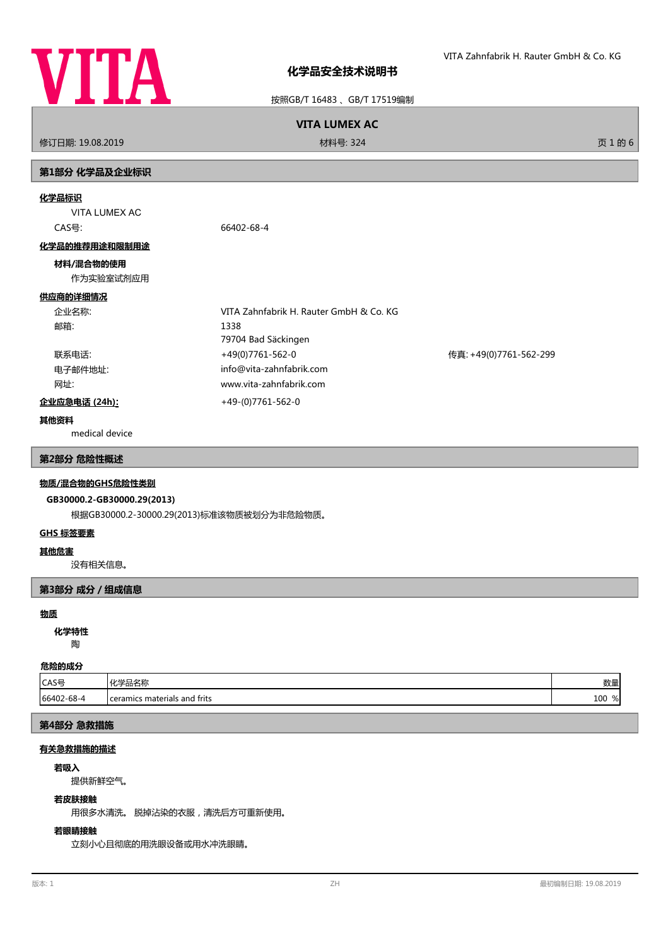

按照GB/T 16483 、GB/T 17519编制

## **VITA LUMEX AC**

修订日期: 19.08.2019 材料号: 324 页 1 的 6

# **第1部分 化学品及企业标识**

## **化学品标识**

VITA LUMEX AC CAS号: 66402-68-4

#### **化学品的推荐用途和限制用途**

## **材料/混合物的使用**

作为实验室试剂应用

## **供应商的详细情况**

| 企业名称:   | VITA Zahnfabrik H. Rauter GmbH & Co. KG |                        |
|---------|-----------------------------------------|------------------------|
| 邮箱:     | 1338                                    |                        |
|         | 79704 Bad Säckingen                     |                        |
| 联系电话:   | +49(0)7761-562-0                        | 传真: +49(0)7761-562-299 |
| 电子邮件地址: | info@vita-zahnfabrik.com                |                        |
| 网址:     | www.vita-zahnfabrik.com                 |                        |

## **企业应急电话 (24h):** +49-(0)7761-562-0

## **其他资料**

medical device

## **第2部分 危险性概述**

## **物质/混合物的GHS危险性类别**

## **GB30000.2-GB30000.29(2013)**

根据GB30000.2-30000.29(2013)标准该物质被划分为非危险物质。

### **GHS 标签要素**

## **其他危害**

没有相关信息。

## **第3部分 成分/组成信息**

#### **物质**

陶 **化学特性**

# **危险的成分**

| CAS号       | 1525日<br>-001<br>. د ۱۹۶۱ ک                | <b>Wh</b><br>效生         |
|------------|--------------------------------------------|-------------------------|
| 66402-68-4 | materials and frits ،<br><b>L</b> ceramics | 100<br>$\sim$<br>$\%$ l |

## **第4部分 急救措施**

## **有关急救措施的描述**

#### **若吸入**

提供新鲜空气。

#### **若皮肤接触**

用很多水清洗。 脱掉沾染的衣服,清洗后方可重新使用。

## **若眼睛接触**

立刻小心且彻底的用洗眼设备或用水冲洗眼睛。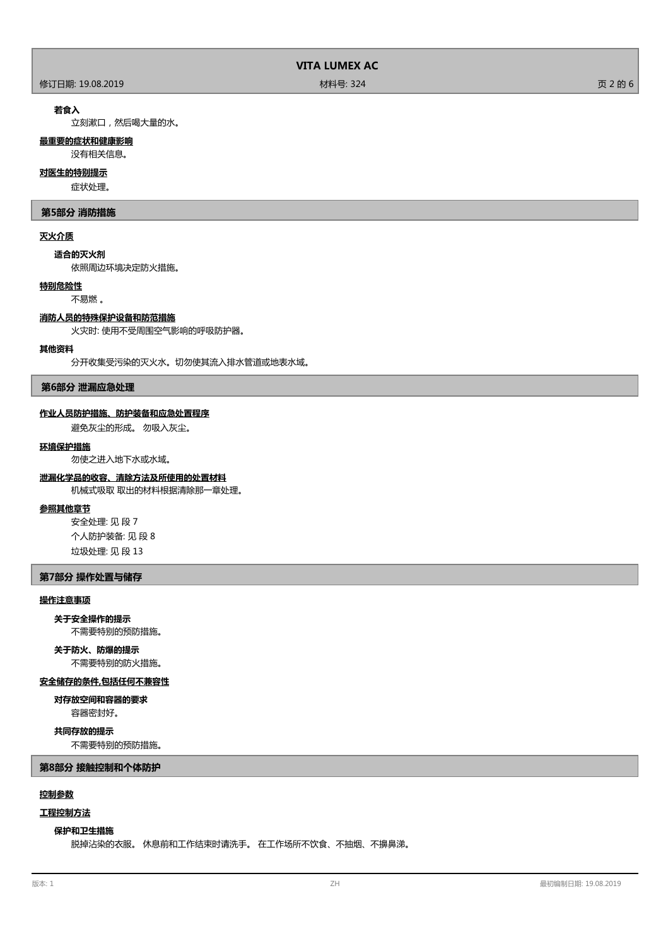#### 修订日期: 19.08.2019 材料号: 324 页 2 的 6

## **若食入**

立刻漱口,然后喝大量的水。

## **最重要的症状和健康影响**

没有相关信息。

## **对医生的特别提示**

症状处理。

## **第5部分 消防措施**

## **灭火介质**

**适合的灭火剂**

依照周边环境决定防火措施。

## **特别危险性**

不易燃 。

## **消防人员的特殊保护设备和防范措施**

火灾时: 使用不受周围空气影响的呼吸防护器。

## **其他资料**

分开收集受污染的灭火水。切勿使其流入排水管道或地表水域。

## **第6部分 泄漏应急处理**

#### **作业人员防护措施、防护装备和应急处置程序**

避免灰尘的形成。 勿吸入灰尘。

#### **环境保护措施**

勿使之进入地下水或水域。

## **泄漏化学品的收容、清除方法及所使用的处置材料**

机械式吸取 取出的材料根据清除那一章处理。

## **参照其他章节**

安全处理: 见 段 7 个人防护装备: 见 段 8 垃圾处理: 见 段 13

## **第7部分 操作处置与储存**

#### **操作注意事项**

**关于安全操作的提示**

不需要特别的预防措施。

# **关于防火、防爆的提示**

不需要特别的防火措施。

## **安全储存的条件,包括任何不兼容性**

容器密封好。 **对存放空间和容器的要求**

## **共同存放的提示**

不需要特别的预防措施。

**第8部分 接触控制和个体防护**

## **控制参数**

## **工程控制方法**

## **保护和卫生措施**

脱掉沾染的衣服。 休息前和工作结束时请洗手。 在工作场所不饮食、不抽烟、不擤鼻涕。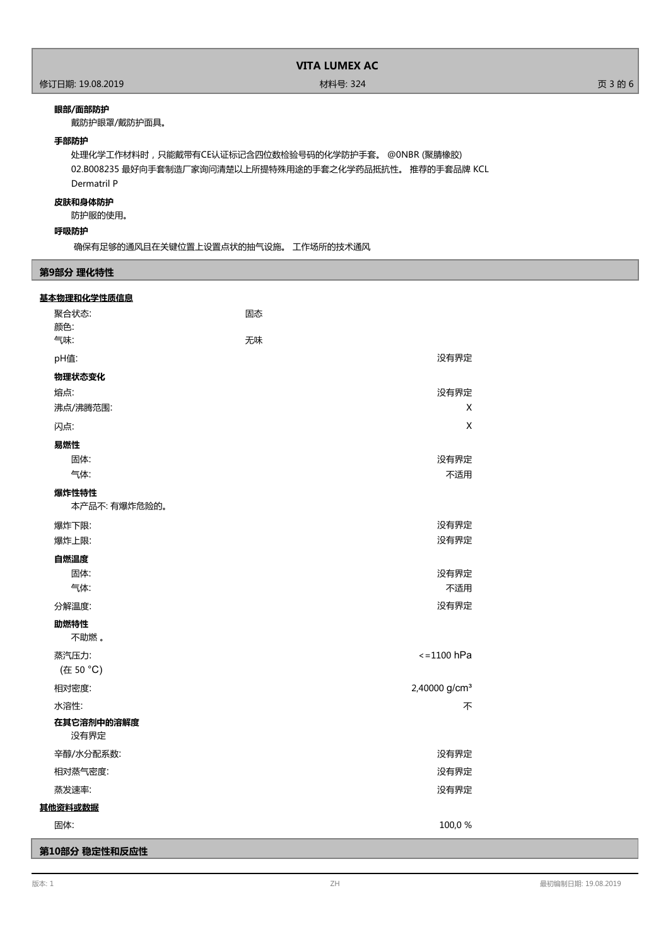#### **眼部/面部防护**

戴防护眼罩/戴防护面具。

## **手部防护**

处理化学工作材料时,只能戴带有CE认证标记含四位数检验号码的化学防护手套。 @0NBR (聚腈橡胶) 02.B008235 最好向手套制造厂家询问清楚以上所提特殊用途的手套之化学药品抵抗性。 推荐的手套品牌 KCL Dermatril P

## **皮肤和身体防护**

防护服的使用。

## **呼吸防护**

确保有足够的通风且在关键位置上设置点状的抽气设施。 工作场所的技术通风

## **第9部分 理化特性**

| 基本物理和化学性质信息        |                           |
|--------------------|---------------------------|
| 聚合状态:              | 固态                        |
| 颜色:                |                           |
| 气味:                | 无味                        |
| pH值:               | 没有界定                      |
| 物理状态变化             |                           |
| 熔点:                | 没有界定                      |
| 沸点/沸腾范围:           | X                         |
| 闪点:                | X                         |
| 易燃性                |                           |
| 固体:                | 没有界定                      |
| 气体:                | 不适用                       |
| 爆炸性特性              |                           |
| 本产品不: 有爆炸危险的。      |                           |
| 爆炸下限:              | 没有界定                      |
| 爆炸上限:              | 没有界定                      |
| 自燃温度               |                           |
| 固体:                | 没有界定                      |
| 气体:                | 不适用                       |
| 分解温度:              | 没有界定                      |
| 助燃特性<br>不助燃。       |                           |
| 蒸汽压力:              | $\le$ = 1100 hPa          |
| (在 50 °C)          |                           |
| 相对密度:              | 2,40000 g/cm <sup>3</sup> |
| 水溶性:               | 不                         |
| 在其它溶剂中的溶解度<br>没有界定 |                           |
| 辛醇/水分配系数:          | 没有界定                      |
| 相对蒸气密度:            | 没有界定                      |
| 蒸发速率:              | 没有界定                      |
| 其他资料或数据            |                           |
| 固体:                | 100,0%                    |
| 第10部分 稳定性和反应性      |                           |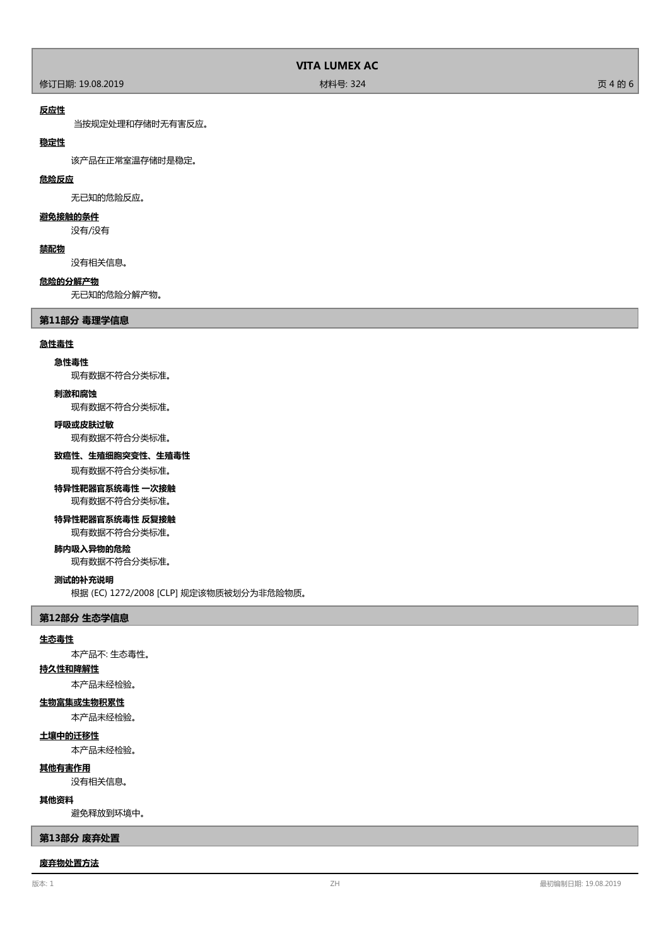修订日期: 19.08.2019 材料号: 324 页 4 的 6

#### **反应性**

当按规定处理和存储时无有害反应。

## **稳定性**

该产品在正常室温存储时是稳定。

#### **危险反应**

无已知的危险反应。

## **避免接触的条件**

没有/没有

## **禁配物**

没有相关信息。

## **危险的分解产物**

无已知的危险分解产物。

## **第11部分 毒理学信息**

#### **急性毒性**

## **急性毒性**

现有数据不符合分类标准。

#### **刺激和腐蚀**

现有数据不符合分类标准。

## **呼吸或皮肤过敏**

现有数据不符合分类标准。

## **致癌性、生殖细胞突变性、生殖毒性**

现有数据不符合分类标准。

## **特异性靶器官系统毒性 一次接触**

现有数据不符合分类标准。

## **特异性靶器官系统毒性 反复接触**

现有数据不符合分类标准。

## **肺内吸入异物的危险**

现有数据不符合分类标准。

#### **测试的补充说明**

根据 (EC) 1272/2008 [CLP] 规定该物质被划分为非危险物质。

#### **第12部分 生态学信息**

#### **生态毒性**

本产品不: 生态毒性。

## **持久性和降解性**

本产品未经检验。

## **生物富集或生物积累性**

本产品未经检验。

## **土壤中的迁移性**

本产品未经检验。

## **其他有害作用**

没有相关信息。

## **其他资料**

避免释放到环境中。

## **第13部分 废弃处置**

#### **废弃物处置方法**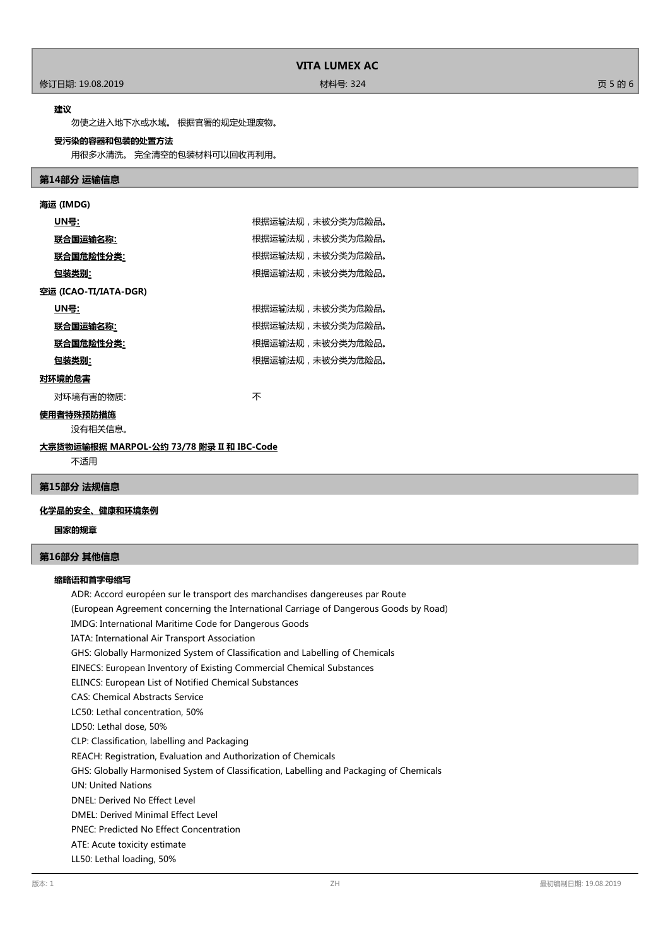## **VITA LUMEX AC**

修订日期: 19.08.2019 材料号: 324 页 5 的 6

#### **建议**

勿使之进入地下水或水域。 根据官署的规定处理废物。

## **受污染的容器和包装的处置方法**

用很多水清洗。 完全清空的包装材料可以回收再利用。

## **第14部分 运输信息**

| 海运 (IMDG)                                 |                  |  |
|-------------------------------------------|------------------|--|
| <u>UN号</u> :                              | 根据运输法规,未被分类为危险品。 |  |
| 联合国运输名称:                                  | 根据运输法规,未被分类为危险品。 |  |
| <u> 联合国危险性分类:</u>                         | 根据运输法规,未被分类为危险品。 |  |
| <u>包装类别:</u>                              | 根据运输法规,未被分类为危险品。 |  |
| 空运 (ICAO-TI/IATA-DGR)                     |                  |  |
| <u>UN号:</u>                               | 根据运输法规,未被分类为危险品。 |  |
| 联合国运输名称:                                  | 根据运输法规,未被分类为危险品。 |  |
| <u> 联合国危险性分类:</u>                         | 根据运输法规,未被分类为危险品。 |  |
| 包装类别:                                     | 根据运输法规,未被分类为危险品。 |  |
| 对环境的危害                                    |                  |  |
| 对环境有害的物质:                                 | 不                |  |
| 使用者特殊预防措施                                 |                  |  |
| 没有相关信息。                                   |                  |  |
| 大宗货物运输根据 MARPOL-公约 73/78 附录 II 和 IBC-Code |                  |  |

不适用

## **第15部分 法规信息**

## **化学品的安全、健康和环境条例**

**国家的规章**

## **第16部分 其他信息**

#### **缩略语和首字母缩写**

ADR: Accord européen sur le transport des marchandises dangereuses par Route (European Agreement concerning the International Carriage of Dangerous Goods by Road) IMDG: International Maritime Code for Dangerous Goods IATA: International Air Transport Association GHS: Globally Harmonized System of Classification and Labelling of Chemicals EINECS: European Inventory of Existing Commercial Chemical Substances ELINCS: European List of Notified Chemical Substances CAS: Chemical Abstracts Service LC50: Lethal concentration, 50% LD50: Lethal dose, 50% CLP: Classification, labelling and Packaging REACH: Registration, Evaluation and Authorization of Chemicals GHS: Globally Harmonised System of Classification, Labelling and Packaging of Chemicals UN: United Nations DNEL: Derived No Effect Level DMEL: Derived Minimal Effect Level PNEC: Predicted No Effect Concentration ATE: Acute toxicity estimate LL50: Lethal loading, 50%